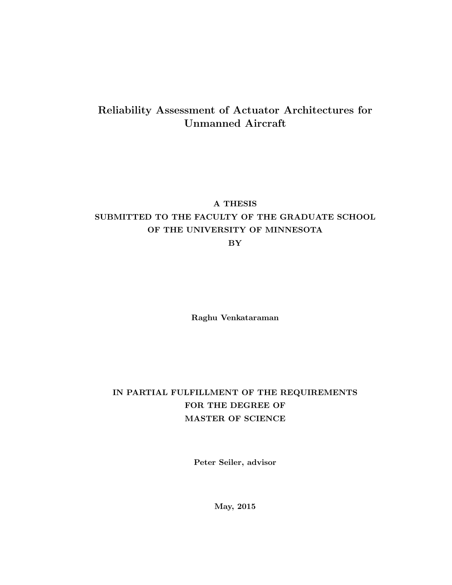#### Reliability Assessment of Actuator Architectures for Unmanned Aircraft

#### A THESIS

### SUBMITTED TO THE FACULTY OF THE GRADUATE SCHOOL OF THE UNIVERSITY OF MINNESOTA

BY

Raghu Venkataraman

#### IN PARTIAL FULFILLMENT OF THE REQUIREMENTS FOR THE DEGREE OF MASTER OF SCIENCE

Peter Seiler, advisor

May, 2015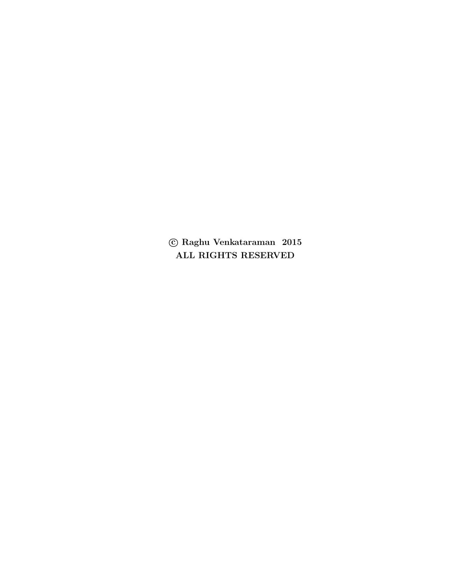$\copyright$  Raghu Venkataraman $% \left( \left\langle \left\langle \cdot\right\rangle \right\rangle \right)$  Raghu Venkataraman $% \left\langle \cdot\right\rangle \right)$ ALL RIGHTS RESERVED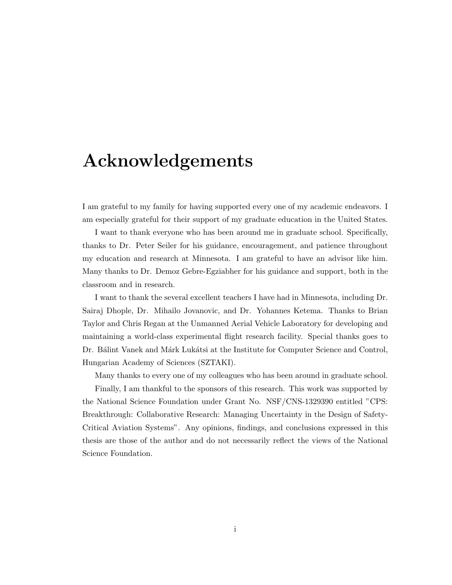# <span id="page-2-0"></span>Acknowledgements

I am grateful to my family for having supported every one of my academic endeavors. I am especially grateful for their support of my graduate education in the United States.

I want to thank everyone who has been around me in graduate school. Specifically, thanks to Dr. Peter Seiler for his guidance, encouragement, and patience throughout my education and research at Minnesota. I am grateful to have an advisor like him. Many thanks to Dr. Demoz Gebre-Egziabher for his guidance and support, both in the classroom and in research.

I want to thank the several excellent teachers I have had in Minnesota, including Dr. Sairaj Dhople, Dr. Mihailo Jovanovic, and Dr. Yohannes Ketema. Thanks to Brian Taylor and Chris Regan at the Unmanned Aerial Vehicle Laboratory for developing and maintaining a world-class experimental flight research facility. Special thanks goes to Dr. Bálint Vanek and Márk Lukátsi at the Institute for Computer Science and Control, Hungarian Academy of Sciences (SZTAKI).

Many thanks to every one of my colleagues who has been around in graduate school.

Finally, I am thankful to the sponsors of this research. This work was supported by the National Science Foundation under Grant No. NSF/CNS-1329390 entitled "CPS: Breakthrough: Collaborative Research: Managing Uncertainty in the Design of Safety-Critical Aviation Systems". Any opinions, findings, and conclusions expressed in this thesis are those of the author and do not necessarily reflect the views of the National Science Foundation.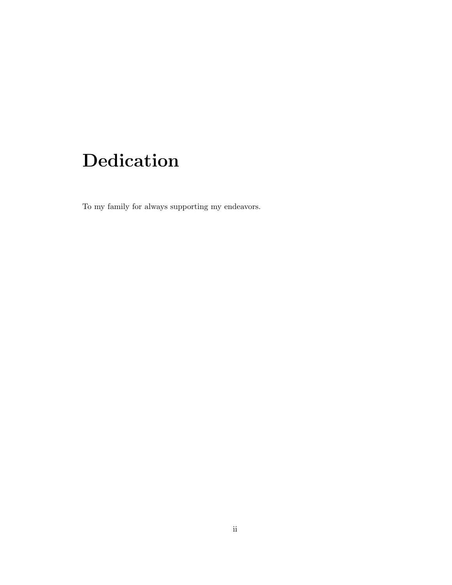# <span id="page-3-0"></span>Dedication

To my family for always supporting my endeavors.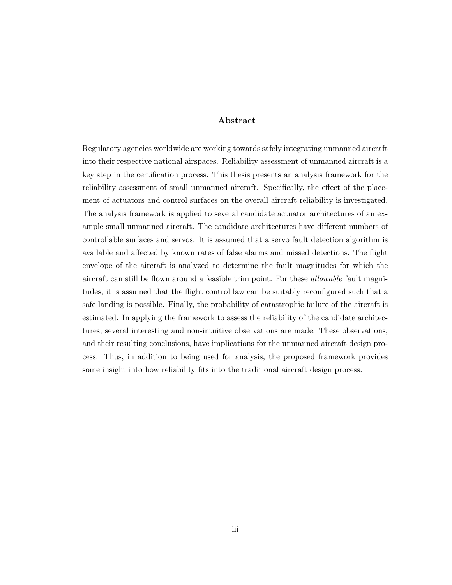#### Abstract

Regulatory agencies worldwide are working towards safely integrating unmanned aircraft into their respective national airspaces. Reliability assessment of unmanned aircraft is a key step in the certification process. This thesis presents an analysis framework for the reliability assessment of small unmanned aircraft. Specifically, the effect of the placement of actuators and control surfaces on the overall aircraft reliability is investigated. The analysis framework is applied to several candidate actuator architectures of an example small unmanned aircraft. The candidate architectures have different numbers of controllable surfaces and servos. It is assumed that a servo fault detection algorithm is available and affected by known rates of false alarms and missed detections. The flight envelope of the aircraft is analyzed to determine the fault magnitudes for which the aircraft can still be flown around a feasible trim point. For these *allowable* fault magnitudes, it is assumed that the flight control law can be suitably reconfigured such that a safe landing is possible. Finally, the probability of catastrophic failure of the aircraft is estimated. In applying the framework to assess the reliability of the candidate architectures, several interesting and non-intuitive observations are made. These observations, and their resulting conclusions, have implications for the unmanned aircraft design process. Thus, in addition to being used for analysis, the proposed framework provides some insight into how reliability fits into the traditional aircraft design process.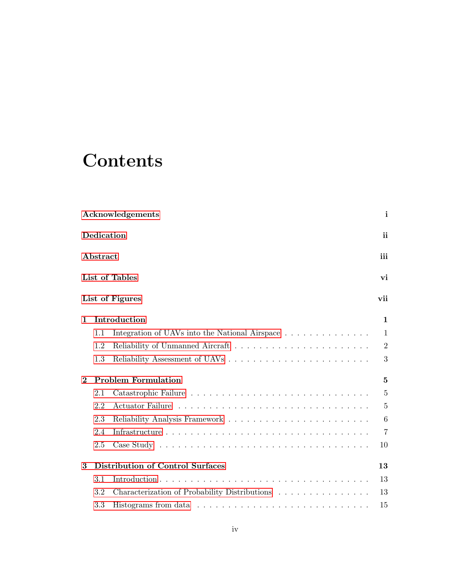# **Contents**

|              |            | Acknowledgements                               | $\mathbf{i}$   |
|--------------|------------|------------------------------------------------|----------------|
|              | Dedication |                                                | <sub>ii</sub>  |
|              | Abstract   |                                                | iii            |
|              |            | List of Tables                                 | vi             |
|              |            | List of Figures                                | vii            |
| $\mathbf{1}$ |            | Introduction                                   | $\mathbf{1}$   |
|              | 1.1        | Integration of UAVs into the National Airspace | $\mathbf{1}$   |
|              | 1.2        |                                                | $\overline{2}$ |
|              | 1.3        |                                                | 3              |
| $\bf{2}$     |            | <b>Problem Formulation</b>                     | 5              |
|              | 2.1        |                                                | $\overline{5}$ |
|              | 2.2        |                                                | $\overline{5}$ |
|              | 2.3        |                                                | 6              |
|              | 2.4        |                                                | $\overline{7}$ |
|              | 2.5        |                                                | 10             |
| 3            |            | <b>Distribution of Control Surfaces</b>        | 13             |
|              | 3.1        |                                                | 13             |
|              | 3.2        | Characterization of Probability Distributions  | 13             |
|              | 3.3        |                                                | 15             |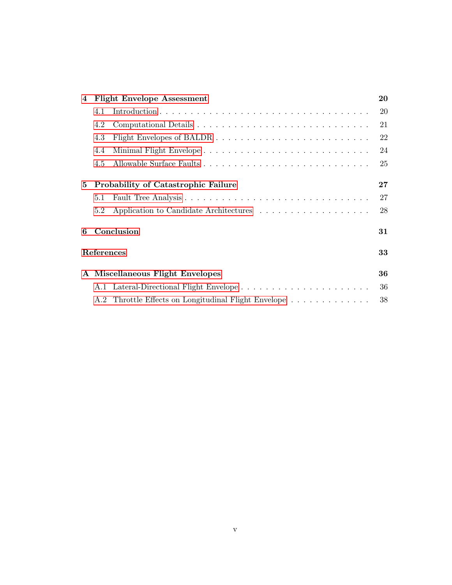| $\overline{4}$ | <b>Flight Envelope Assessment</b> |                                                                                    |    |  |  |
|----------------|-----------------------------------|------------------------------------------------------------------------------------|----|--|--|
|                | 4.1                               |                                                                                    | 20 |  |  |
|                | 4.2                               |                                                                                    | 21 |  |  |
|                | 4.3                               |                                                                                    | 22 |  |  |
|                | 4.4                               | Minimal Flight Envelope                                                            | 24 |  |  |
|                | 4.5                               |                                                                                    | 25 |  |  |
| 5              |                                   | <b>Probability of Catastrophic Failure</b>                                         | 27 |  |  |
|                | 5.1                               |                                                                                    | 27 |  |  |
|                | 5.2                               |                                                                                    | 28 |  |  |
| 6              | Conclusion                        |                                                                                    |    |  |  |
|                | References                        |                                                                                    | 33 |  |  |
|                |                                   | A Miscellaneous Flight Envelopes                                                   | 36 |  |  |
|                |                                   | A.1 Lateral-Directional Flight Envelope                                            | 36 |  |  |
|                |                                   | A.2 Throttle Effects on Longitudinal Flight Envelope $\ldots \ldots \ldots \ldots$ | 38 |  |  |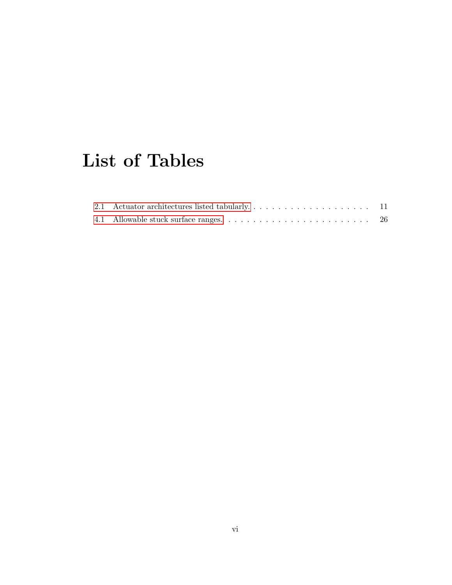# <span id="page-7-0"></span>List of Tables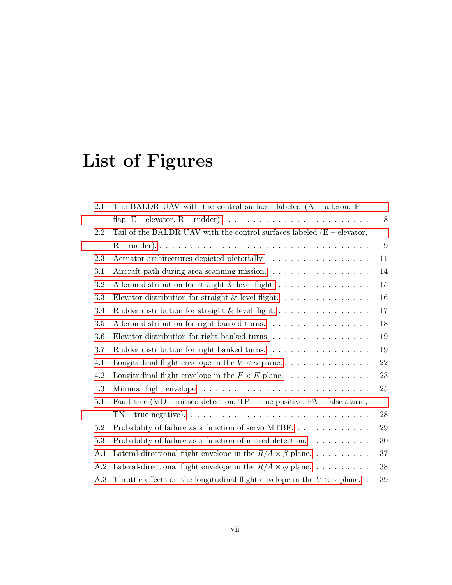# <span id="page-8-0"></span>List of Figures

| 2.1     | The BALDR UAV with the control surfaces labeled $(A - ai)$ eron, F                         |        |  |  |  |
|---------|--------------------------------------------------------------------------------------------|--------|--|--|--|
|         | flap, E – elevator, R – rudder). $\ldots \ldots \ldots \ldots \ldots \ldots \ldots \ldots$ | 8      |  |  |  |
| 2.2     | Tail of the BALDR UAV with the control surfaces labeled $(E - elevator)$ ,                 |        |  |  |  |
|         |                                                                                            | 9      |  |  |  |
| 2.3     | Actuator architectures depicted pictorially.                                               | 11     |  |  |  |
| 3.1     | Aircraft path during area scanning mission.<br>14                                          |        |  |  |  |
| 3.2     |                                                                                            | 15     |  |  |  |
| 3.3     | Elevator distribution for straight $\&$ level flight.                                      | 16     |  |  |  |
| 3.4     | Rudder distribution for straight & level flight                                            | 17     |  |  |  |
| $3.5\,$ | Aileron distribution for right banked turns.                                               | 18     |  |  |  |
| 3.6     | Elevator distribution for right banked turns.                                              | 19     |  |  |  |
| 3.7     | Rudder distribution for right banked turns                                                 | 19     |  |  |  |
| 4.1     | Longitudinal flight envelope in the $V \times \alpha$ plane                                | 22     |  |  |  |
| 4.2     | Longitudinal flight envelope in the $F \times E$ plane.                                    | 23     |  |  |  |
| 4.3     |                                                                                            | 25     |  |  |  |
| 5.1     | Fault tree ( $MD$ – missed detection, $TP$ – true positive, $FA$ – false alarm,            |        |  |  |  |
|         |                                                                                            | 28     |  |  |  |
| 5.2     | Probability of failure as a function of servo MTBF                                         | 29     |  |  |  |
| 5.3     |                                                                                            | 30     |  |  |  |
| A.1     | Lateral-directional flight envelope in the $R/A \times \beta$ plane                        | 37     |  |  |  |
| A.2     | Lateral-directional flight envelope in the $R/A \times \phi$ plane                         | 38     |  |  |  |
| A.3     | Throttle effects on the longitudinal flight envelope in the $V \times \gamma$ plane.       | $39\,$ |  |  |  |
|         |                                                                                            |        |  |  |  |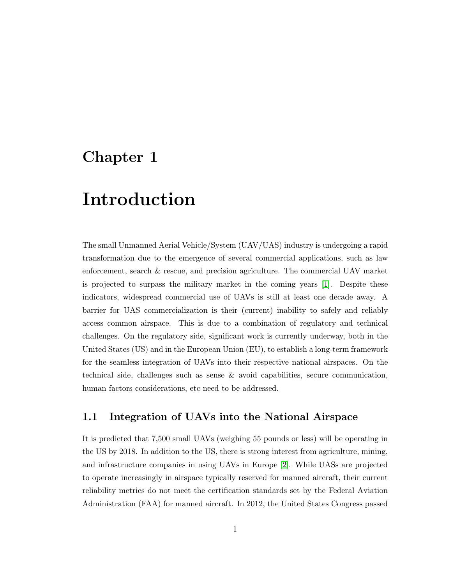### <span id="page-9-0"></span>Chapter 1

## Introduction

The small Unmanned Aerial Vehicle/System (UAV/UAS) industry is undergoing a rapid transformation due to the emergence of several commercial applications, such as law enforcement, search & rescue, and precision agriculture. The commercial UAV market is projected to surpass the military market in the coming years [\[1\]](#page-41-1). Despite these indicators, widespread commercial use of UAVs is still at least one decade away. A barrier for UAS commercialization is their (current) inability to safely and reliably access common airspace. This is due to a combination of regulatory and technical challenges. On the regulatory side, significant work is currently underway, both in the United States (US) and in the European Union (EU), to establish a long-term framework for the seamless integration of UAVs into their respective national airspaces. On the technical side, challenges such as sense & avoid capabilities, secure communication, human factors considerations, etc need to be addressed.

#### <span id="page-9-1"></span>1.1 Integration of UAVs into the National Airspace

It is predicted that 7,500 small UAVs (weighing 55 pounds or less) will be operating in the US by 2018. In addition to the US, there is strong interest from agriculture, mining, and infrastructure companies in using UAVs in Europe [\[2\]](#page-41-2). While UASs are projected to operate increasingly in airspace typically reserved for manned aircraft, their current reliability metrics do not meet the certification standards set by the Federal Aviation Administration (FAA) for manned aircraft. In 2012, the United States Congress passed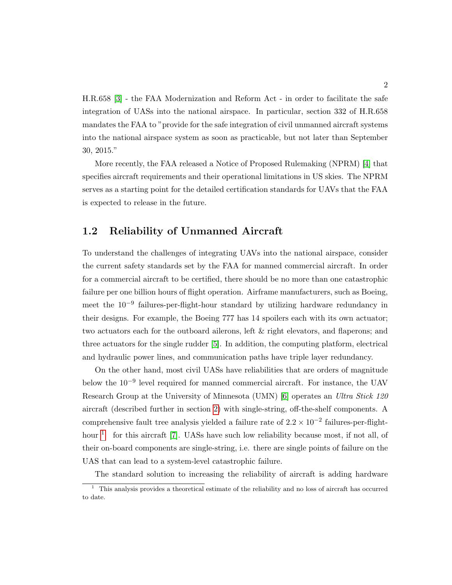H.R.658 [\[3\]](#page-41-3) - the FAA Modernization and Reform Act - in order to facilitate the safe integration of UASs into the national airspace. In particular, section 332 of H.R.658 mandates the FAA to "provide for the safe integration of civil unmanned aircraft systems into the national airspace system as soon as practicable, but not later than September 30, 2015."

More recently, the FAA released a Notice of Proposed Rulemaking (NPRM) [\[4\]](#page-41-4) that specifies aircraft requirements and their operational limitations in US skies. The NPRM serves as a starting point for the detailed certification standards for UAVs that the FAA is expected to release in the future.

#### <span id="page-10-0"></span>1.2 Reliability of Unmanned Aircraft

To understand the challenges of integrating UAVs into the national airspace, consider the current safety standards set by the FAA for manned commercial aircraft. In order for a commercial aircraft to be certified, there should be no more than one catastrophic failure per one billion hours of flight operation. Airframe manufacturers, such as Boeing, meet the 10−<sup>9</sup> failures-per-flight-hour standard by utilizing hardware redundancy in their designs. For example, the Boeing 777 has 14 spoilers each with its own actuator; two actuators each for the outboard ailerons, left & right elevators, and flaperons; and three actuators for the single rudder [\[5\]](#page-41-5). In addition, the computing platform, electrical and hydraulic power lines, and communication paths have triple layer redundancy.

On the other hand, most civil UASs have reliabilities that are orders of magnitude below the 10−<sup>9</sup> level required for manned commercial aircraft. For instance, the UAV Research Group at the University of Minnesota (UMN) [\[6\]](#page-41-6) operates an Ultra Stick 120 aircraft (described further in section [2\)](#page-13-0) with single-string, off-the-shelf components. A comprehensive fault tree analysis yielded a failure rate of  $2.2 \times 10^{-2}$  failures-per-flight $hour$ <sup>[1](#page-10-1)</sup> for this aircraft [\[7\]](#page-41-7). UASs have such low reliability because most, if not all, of their on-board components are single-string, i.e. there are single points of failure on the UAS that can lead to a system-level catastrophic failure.

<span id="page-10-1"></span>The standard solution to increasing the reliability of aircraft is adding hardware

 $1$  This analysis provides a theoretical estimate of the reliability and no loss of aircraft has occurred to date.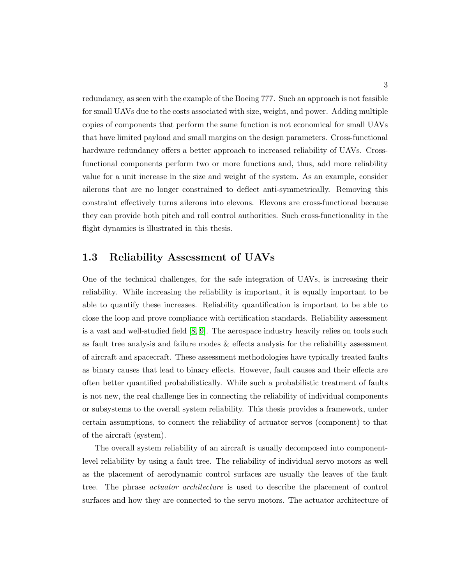redundancy, as seen with the example of the Boeing 777. Such an approach is not feasible for small UAVs due to the costs associated with size, weight, and power. Adding multiple copies of components that perform the same function is not economical for small UAVs that have limited payload and small margins on the design parameters. Cross-functional hardware redundancy offers a better approach to increased reliability of UAVs. Crossfunctional components perform two or more functions and, thus, add more reliability value for a unit increase in the size and weight of the system. As an example, consider ailerons that are no longer constrained to deflect anti-symmetrically. Removing this constraint effectively turns ailerons into elevons. Elevons are cross-functional because they can provide both pitch and roll control authorities. Such cross-functionality in the flight dynamics is illustrated in this thesis.

#### <span id="page-11-0"></span>1.3 Reliability Assessment of UAVs

One of the technical challenges, for the safe integration of UAVs, is increasing their reliability. While increasing the reliability is important, it is equally important to be able to quantify these increases. Reliability quantification is important to be able to close the loop and prove compliance with certification standards. Reliability assessment is a vast and well-studied field [\[8,](#page-41-8) [9\]](#page-41-9). The aerospace industry heavily relies on tools such as fault tree analysis and failure modes & effects analysis for the reliability assessment of aircraft and spacecraft. These assessment methodologies have typically treated faults as binary causes that lead to binary effects. However, fault causes and their effects are often better quantified probabilistically. While such a probabilistic treatment of faults is not new, the real challenge lies in connecting the reliability of individual components or subsystems to the overall system reliability. This thesis provides a framework, under certain assumptions, to connect the reliability of actuator servos (component) to that of the aircraft (system).

The overall system reliability of an aircraft is usually decomposed into componentlevel reliability by using a fault tree. The reliability of individual servo motors as well as the placement of aerodynamic control surfaces are usually the leaves of the fault tree. The phrase actuator architecture is used to describe the placement of control surfaces and how they are connected to the servo motors. The actuator architecture of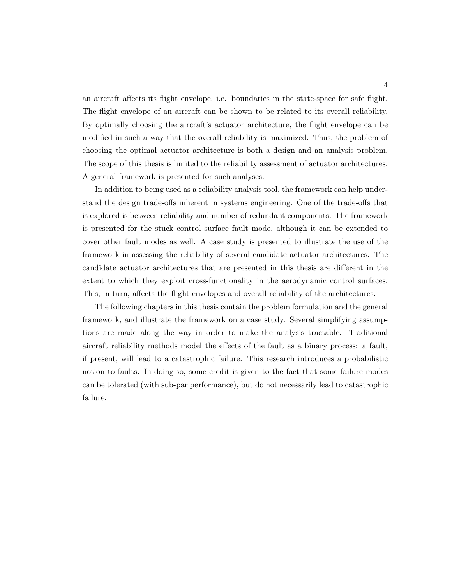an aircraft affects its flight envelope, i.e. boundaries in the state-space for safe flight. The flight envelope of an aircraft can be shown to be related to its overall reliability. By optimally choosing the aircraft's actuator architecture, the flight envelope can be modified in such a way that the overall reliability is maximized. Thus, the problem of choosing the optimal actuator architecture is both a design and an analysis problem. The scope of this thesis is limited to the reliability assessment of actuator architectures. A general framework is presented for such analyses.

In addition to being used as a reliability analysis tool, the framework can help understand the design trade-offs inherent in systems engineering. One of the trade-offs that is explored is between reliability and number of redundant components. The framework is presented for the stuck control surface fault mode, although it can be extended to cover other fault modes as well. A case study is presented to illustrate the use of the framework in assessing the reliability of several candidate actuator architectures. The candidate actuator architectures that are presented in this thesis are different in the extent to which they exploit cross-functionality in the aerodynamic control surfaces. This, in turn, affects the flight envelopes and overall reliability of the architectures.

The following chapters in this thesis contain the problem formulation and the general framework, and illustrate the framework on a case study. Several simplifying assumptions are made along the way in order to make the analysis tractable. Traditional aircraft reliability methods model the effects of the fault as a binary process: a fault, if present, will lead to a catastrophic failure. This research introduces a probabilistic notion to faults. In doing so, some credit is given to the fact that some failure modes can be tolerated (with sub-par performance), but do not necessarily lead to catastrophic failure.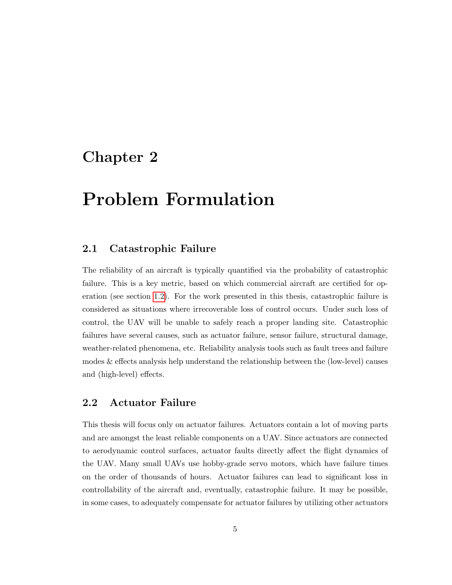### <span id="page-13-0"></span>Chapter 2

# Problem Formulation

#### <span id="page-13-1"></span>2.1 Catastrophic Failure

The reliability of an aircraft is typically quantified via the probability of catastrophic failure. This is a key metric, based on which commercial aircraft are certified for operation (see section [1.2\)](#page-10-0). For the work presented in this thesis, catastrophic failure is considered as situations where irrecoverable loss of control occurs. Under such loss of control, the UAV will be unable to safely reach a proper landing site. Catastrophic failures have several causes, such as actuator failure, sensor failure, structural damage, weather-related phenomena, etc. Reliability analysis tools such as fault trees and failure modes & effects analysis help understand the relationship between the (low-level) causes and (high-level) effects.

#### <span id="page-13-2"></span>2.2 Actuator Failure

This thesis will focus only on actuator failures. Actuators contain a lot of moving parts and are amongst the least reliable components on a UAV. Since actuators are connected to aerodynamic control surfaces, actuator faults directly affect the flight dynamics of the UAV. Many small UAVs use hobby-grade servo motors, which have failure times on the order of thousands of hours. Actuator failures can lead to significant loss in controllability of the aircraft and, eventually, catastrophic failure. It may be possible, in some cases, to adequately compensate for actuator failures by utilizing other actuators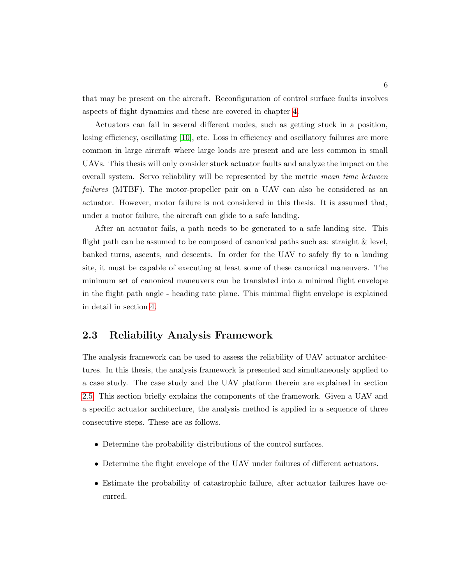that may be present on the aircraft. Reconfiguration of control surface faults involves aspects of flight dynamics and these are covered in chapter [4.](#page-28-0)

Actuators can fail in several different modes, such as getting stuck in a position, losing efficiency, oscillating [\[10\]](#page-42-0), etc. Loss in efficiency and oscillatory failures are more common in large aircraft where large loads are present and are less common in small UAVs. This thesis will only consider stuck actuator faults and analyze the impact on the overall system. Servo reliability will be represented by the metric mean time between failures (MTBF). The motor-propeller pair on a UAV can also be considered as an actuator. However, motor failure is not considered in this thesis. It is assumed that, under a motor failure, the aircraft can glide to a safe landing.

After an actuator fails, a path needs to be generated to a safe landing site. This flight path can be assumed to be composed of canonical paths such as: straight & level, banked turns, ascents, and descents. In order for the UAV to safely fly to a landing site, it must be capable of executing at least some of these canonical maneuvers. The minimum set of canonical maneuvers can be translated into a minimal flight envelope in the flight path angle - heading rate plane. This minimal flight envelope is explained in detail in section [4.](#page-28-0)

#### <span id="page-14-0"></span>2.3 Reliability Analysis Framework

The analysis framework can be used to assess the reliability of UAV actuator architectures. In this thesis, the analysis framework is presented and simultaneously applied to a case study. The case study and the UAV platform therein are explained in section [2.5.](#page-18-0) This section briefly explains the components of the framework. Given a UAV and a specific actuator architecture, the analysis method is applied in a sequence of three consecutive steps. These are as follows.

- Determine the probability distributions of the control surfaces.
- Determine the flight envelope of the UAV under failures of different actuators.
- Estimate the probability of catastrophic failure, after actuator failures have occurred.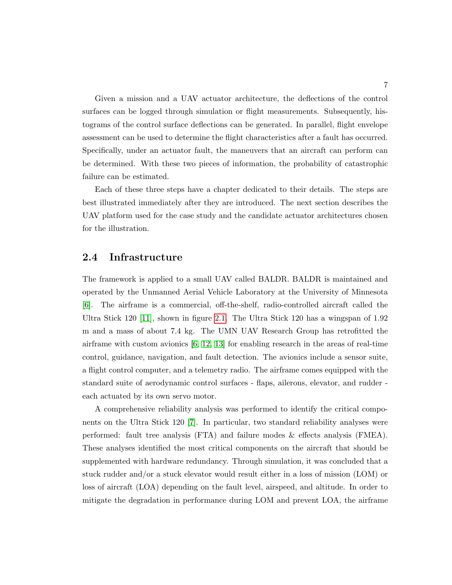Given a mission and a UAV actuator architecture, the deflections of the control surfaces can be logged through simulation or flight measurements. Subsequently, histograms of the control surface deflections can be generated. In parallel, flight envelope assessment can be used to determine the flight characteristics after a fault has occurred. Specifically, under an actuator fault, the maneuvers that an aircraft can perform can be determined. With these two pieces of information, the probability of catastrophic failure can be estimated.

Each of these three steps have a chapter dedicated to their details. The steps are best illustrated immediately after they are introduced. The next section describes the UAV platform used for the case study and the candidate actuator architectures chosen for the illustration.

#### <span id="page-15-0"></span>2.4 Infrastructure

The framework is applied to a small UAV called BALDR. BALDR is maintained and operated by the Unmanned Aerial Vehicle Laboratory at the University of Minnesota [\[6\]](#page-41-6). The airframe is a commercial, off-the-shelf, radio-controlled aircraft called the Ultra Stick 120 [\[11\]](#page-42-1), shown in figure [2.1.](#page-16-0) The Ultra Stick 120 has a wingspan of 1.92 m and a mass of about 7.4 kg. The UMN UAV Research Group has retrofitted the airframe with custom avionics  $[6, 12, 13]$  $[6, 12, 13]$  $[6, 12, 13]$  for enabling research in the areas of real-time control, guidance, navigation, and fault detection. The avionics include a sensor suite, a flight control computer, and a telemetry radio. The airframe comes equipped with the standard suite of aerodynamic control surfaces - flaps, ailerons, elevator, and rudder each actuated by its own servo motor.

A comprehensive reliability analysis was performed to identify the critical components on the Ultra Stick 120 [\[7\]](#page-41-7). In particular, two standard reliability analyses were performed: fault tree analysis (FTA) and failure modes & effects analysis (FMEA). These analyses identified the most critical components on the aircraft that should be supplemented with hardware redundancy. Through simulation, it was concluded that a stuck rudder and/or a stuck elevator would result either in a loss of mission (LOM) or loss of aircraft (LOA) depending on the fault level, airspeed, and altitude. In order to mitigate the degradation in performance during LOM and prevent LOA, the airframe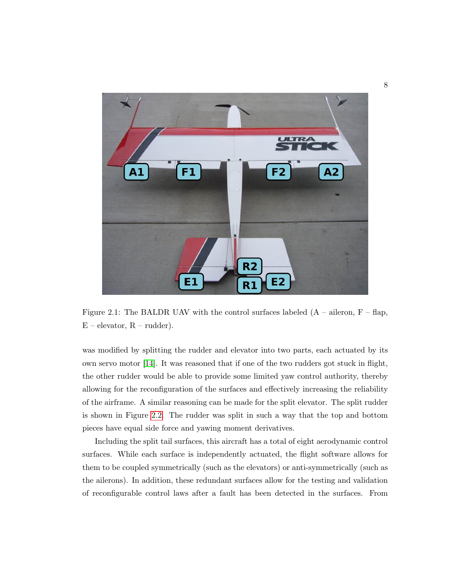

Figure 2.1: The BALDR UAV with the control surfaces labeled  $(A - aileron, F - flap,$  $E$  – elevator,  $R$  – rudder).

<span id="page-16-0"></span>was modified by splitting the rudder and elevator into two parts, each actuated by its own servo motor [\[14\]](#page-42-4). It was reasoned that if one of the two rudders got stuck in flight, the other rudder would be able to provide some limited yaw control authority, thereby allowing for the reconfiguration of the surfaces and effectively increasing the reliability of the airframe. A similar reasoning can be made for the split elevator. The split rudder is shown in Figure [2.2.](#page-17-0) The rudder was split in such a way that the top and bottom pieces have equal side force and yawing moment derivatives.

Including the split tail surfaces, this aircraft has a total of eight aerodynamic control surfaces. While each surface is independently actuated, the flight software allows for them to be coupled symmetrically (such as the elevators) or anti-symmetrically (such as the ailerons). In addition, these redundant surfaces allow for the testing and validation of reconfigurable control laws after a fault has been detected in the surfaces. From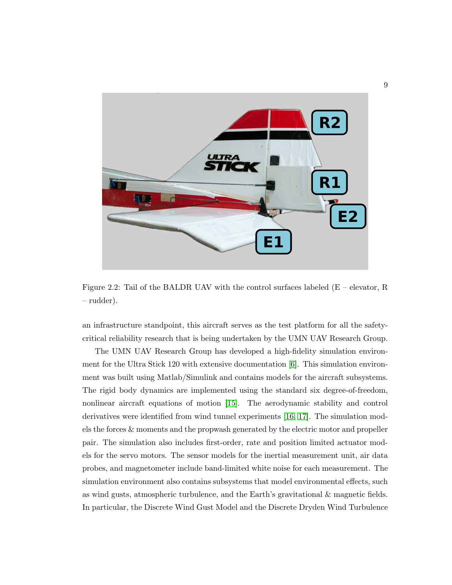

Figure 2.2: Tail of the BALDR UAV with the control surfaces labeled  $(E -$  elevator, R – rudder).

<span id="page-17-0"></span>an infrastructure standpoint, this aircraft serves as the test platform for all the safetycritical reliability research that is being undertaken by the UMN UAV Research Group.

The UMN UAV Research Group has developed a high-fidelity simulation environment for the Ultra Stick 120 with extensive documentation [\[6\]](#page-41-6). This simulation environment was built using Matlab/Simulink and contains models for the aircraft subsystems. The rigid body dynamics are implemented using the standard six degree-of-freedom, nonlinear aircraft equations of motion [\[15\]](#page-42-5). The aerodynamic stability and control derivatives were identified from wind tunnel experiments [\[16,](#page-42-6) [17\]](#page-42-7). The simulation models the forces & moments and the propwash generated by the electric motor and propeller pair. The simulation also includes first-order, rate and position limited actuator models for the servo motors. The sensor models for the inertial measurement unit, air data probes, and magnetometer include band-limited white noise for each measurement. The simulation environment also contains subsystems that model environmental effects, such as wind gusts, atmospheric turbulence, and the Earth's gravitational & magnetic fields. In particular, the Discrete Wind Gust Model and the Discrete Dryden Wind Turbulence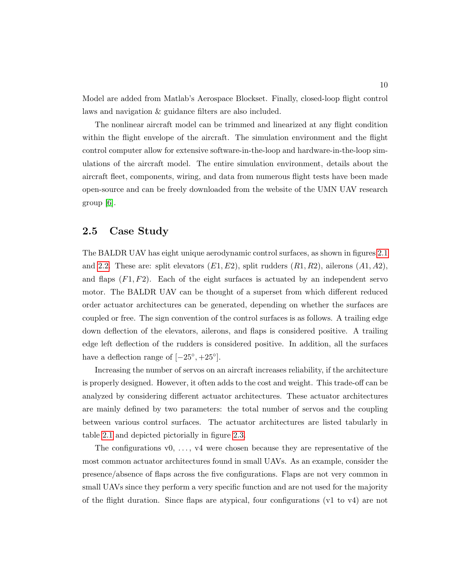Model are added from Matlab's Aerospace Blockset. Finally, closed-loop flight control laws and navigation & guidance filters are also included.

The nonlinear aircraft model can be trimmed and linearized at any flight condition within the flight envelope of the aircraft. The simulation environment and the flight control computer allow for extensive software-in-the-loop and hardware-in-the-loop simulations of the aircraft model. The entire simulation environment, details about the aircraft fleet, components, wiring, and data from numerous flight tests have been made open-source and can be freely downloaded from the website of the UMN UAV research group [\[6\]](#page-41-6).

#### <span id="page-18-0"></span>2.5 Case Study

The BALDR UAV has eight unique aerodynamic control surfaces, as shown in figures [2.1](#page-16-0) and [2.2.](#page-17-0) These are: split elevators  $(E1, E2)$ , split rudders  $(R1, R2)$ , ailerons  $(A1, A2)$ , and flaps  $(F1, F2)$ . Each of the eight surfaces is actuated by an independent servo motor. The BALDR UAV can be thought of a superset from which different reduced order actuator architectures can be generated, depending on whether the surfaces are coupled or free. The sign convention of the control surfaces is as follows. A trailing edge down deflection of the elevators, ailerons, and flaps is considered positive. A trailing edge left deflection of the rudders is considered positive. In addition, all the surfaces have a deflection range of  $[-25^{\circ}, +25^{\circ}]$ .

Increasing the number of servos on an aircraft increases reliability, if the architecture is properly designed. However, it often adds to the cost and weight. This trade-off can be analyzed by considering different actuator architectures. These actuator architectures are mainly defined by two parameters: the total number of servos and the coupling between various control surfaces. The actuator architectures are listed tabularly in table [2.1](#page-19-0) and depicted pictorially in figure [2.3.](#page-19-1)

The configurations  $v_0, \ldots, v_4$  were chosen because they are representative of the most common actuator architectures found in small UAVs. As an example, consider the presence/absence of flaps across the five configurations. Flaps are not very common in small UAVs since they perform a very specific function and are not used for the majority of the flight duration. Since flaps are atypical, four configurations (v1 to v4) are not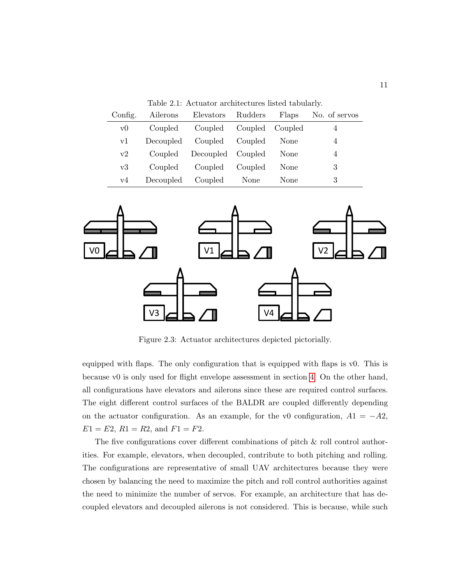<span id="page-19-0"></span>Table 2.1: Actuator architectures listed tabularly.

| Config. | Ailerons  | Elevators Rudders         |         | Flaps | No. of servos |
|---------|-----------|---------------------------|---------|-------|---------------|
| V(      | Coupled   | Coupled Coupled Coupled   |         |       | 4             |
| vl      |           | Decoupled Coupled Coupled |         | None  | 4             |
| v2      |           | Coupled Decoupled Coupled |         | None  | 4             |
| v3      | Coupled   | Coupled                   | Coupled | None  | 3             |
| v4      | Decoupled | Coupled None              |         | None  | 3             |



<span id="page-19-1"></span>Figure 2.3: Actuator architectures depicted pictorially.

equipped with flaps. The only configuration that is equipped with flaps is v0. This is because v0 is only used for flight envelope assessment in section [4.](#page-28-0) On the other hand, all configurations have elevators and ailerons since these are required control surfaces. The eight different control surfaces of the BALDR are coupled differently depending on the actuator configuration. As an example, for the v0 configuration,  $A1 = -A2$ ,  $E1 = E2$ ,  $R1 = R2$ , and  $F1 = F2$ .

The five configurations cover different combinations of pitch  $\&$  roll control authorities. For example, elevators, when decoupled, contribute to both pitching and rolling. The configurations are representative of small UAV architectures because they were chosen by balancing the need to maximize the pitch and roll control authorities against the need to minimize the number of servos. For example, an architecture that has decoupled elevators and decoupled ailerons is not considered. This is because, while such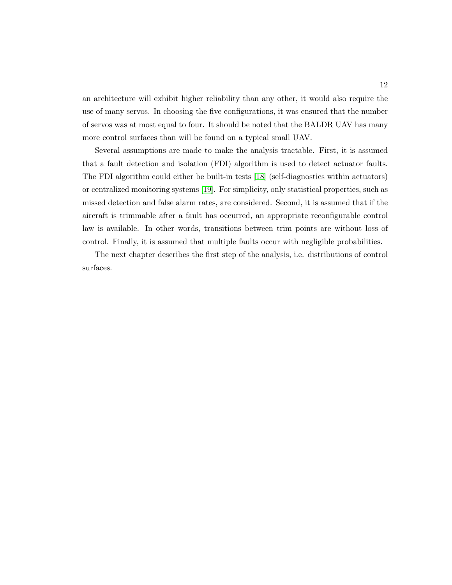an architecture will exhibit higher reliability than any other, it would also require the use of many servos. In choosing the five configurations, it was ensured that the number of servos was at most equal to four. It should be noted that the BALDR UAV has many more control surfaces than will be found on a typical small UAV.

Several assumptions are made to make the analysis tractable. First, it is assumed that a fault detection and isolation (FDI) algorithm is used to detect actuator faults. The FDI algorithm could either be built-in tests [\[18\]](#page-42-8) (self-diagnostics within actuators) or centralized monitoring systems [\[19\]](#page-42-9). For simplicity, only statistical properties, such as missed detection and false alarm rates, are considered. Second, it is assumed that if the aircraft is trimmable after a fault has occurred, an appropriate reconfigurable control law is available. In other words, transitions between trim points are without loss of control. Finally, it is assumed that multiple faults occur with negligible probabilities.

The next chapter describes the first step of the analysis, i.e. distributions of control surfaces.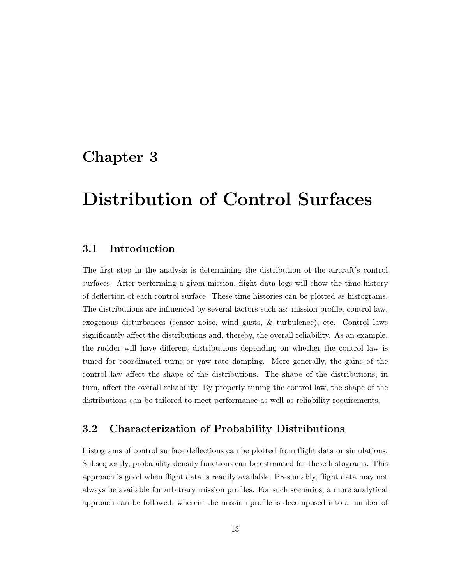### <span id="page-21-0"></span>Chapter 3

## Distribution of Control Surfaces

#### <span id="page-21-1"></span>3.1 Introduction

The first step in the analysis is determining the distribution of the aircraft's control surfaces. After performing a given mission, flight data logs will show the time history of deflection of each control surface. These time histories can be plotted as histograms. The distributions are influenced by several factors such as: mission profile, control law, exogenous disturbances (sensor noise, wind gusts, & turbulence), etc. Control laws significantly affect the distributions and, thereby, the overall reliability. As an example, the rudder will have different distributions depending on whether the control law is tuned for coordinated turns or yaw rate damping. More generally, the gains of the control law affect the shape of the distributions. The shape of the distributions, in turn, affect the overall reliability. By properly tuning the control law, the shape of the distributions can be tailored to meet performance as well as reliability requirements.

#### <span id="page-21-2"></span>3.2 Characterization of Probability Distributions

Histograms of control surface deflections can be plotted from flight data or simulations. Subsequently, probability density functions can be estimated for these histograms. This approach is good when flight data is readily available. Presumably, flight data may not always be available for arbitrary mission profiles. For such scenarios, a more analytical approach can be followed, wherein the mission profile is decomposed into a number of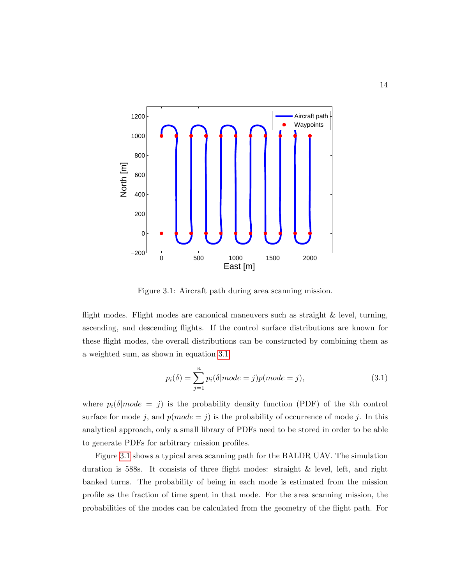

<span id="page-22-0"></span>Figure 3.1: Aircraft path during area scanning mission.

flight modes. Flight modes are canonical maneuvers such as straight  $\&$  level, turning, ascending, and descending flights. If the control surface distributions are known for these flight modes, the overall distributions can be constructed by combining them as a weighted sum, as shown in equation [3.1.](#page-22-1)

<span id="page-22-1"></span>
$$
p_i(\delta) = \sum_{j=1}^n p_i(\delta | mode = j)p(model = j),
$$
\n(3.1)

where  $p_i(\delta | mode = j)$  is the probability density function (PDF) of the *i*th control surface for mode j, and  $p(model = j)$  is the probability of occurrence of mode j. In this analytical approach, only a small library of PDFs need to be stored in order to be able to generate PDFs for arbitrary mission profiles.

Figure [3.1](#page-22-0) shows a typical area scanning path for the BALDR UAV. The simulation duration is 588s. It consists of three flight modes: straight & level, left, and right banked turns. The probability of being in each mode is estimated from the mission profile as the fraction of time spent in that mode. For the area scanning mission, the probabilities of the modes can be calculated from the geometry of the flight path. For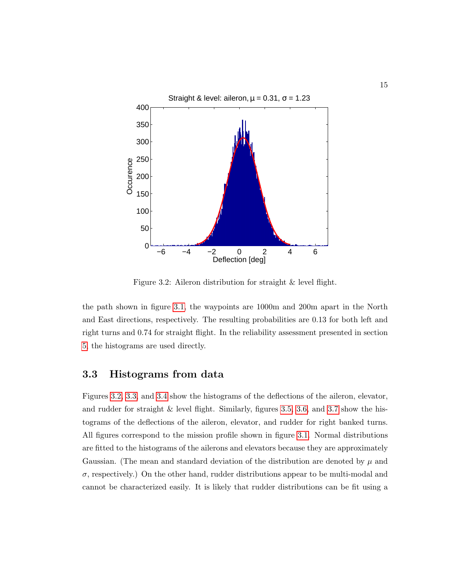

<span id="page-23-1"></span>Figure 3.2: Aileron distribution for straight & level flight.

the path shown in figure [3.1,](#page-22-0) the waypoints are 1000m and 200m apart in the North and East directions, respectively. The resulting probabilities are 0.13 for both left and right turns and 0.74 for straight flight. In the reliability assessment presented in section [5,](#page-35-0) the histograms are used directly.

#### <span id="page-23-0"></span>3.3 Histograms from data

Figures [3.2,](#page-23-1) [3.3,](#page-24-0) and [3.4](#page-25-0) show the histograms of the deflections of the aileron, elevator, and rudder for straight  $\&$  level flight. Similarly, figures [3.5,](#page-26-0) [3.6,](#page-27-0) and [3.7](#page-27-1) show the histograms of the deflections of the aileron, elevator, and rudder for right banked turns. All figures correspond to the mission profile shown in figure [3.1.](#page-22-0) Normal distributions are fitted to the histograms of the ailerons and elevators because they are approximately Gaussian. (The mean and standard deviation of the distribution are denoted by  $\mu$  and  $\sigma$ , respectively.) On the other hand, rudder distributions appear to be multi-modal and cannot be characterized easily. It is likely that rudder distributions can be fit using a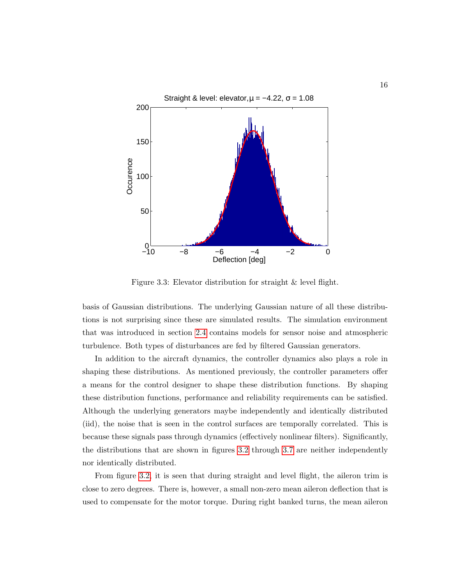

<span id="page-24-0"></span>Figure 3.3: Elevator distribution for straight & level flight.

basis of Gaussian distributions. The underlying Gaussian nature of all these distributions is not surprising since these are simulated results. The simulation environment that was introduced in section [2.4](#page-15-0) contains models for sensor noise and atmospheric turbulence. Both types of disturbances are fed by filtered Gaussian generators.

In addition to the aircraft dynamics, the controller dynamics also plays a role in shaping these distributions. As mentioned previously, the controller parameters offer a means for the control designer to shape these distribution functions. By shaping these distribution functions, performance and reliability requirements can be satisfied. Although the underlying generators maybe independently and identically distributed (iid), the noise that is seen in the control surfaces are temporally correlated. This is because these signals pass through dynamics (effectively nonlinear filters). Significantly, the distributions that are shown in figures [3.2](#page-23-1) through [3.7](#page-27-1) are neither independently nor identically distributed.

From figure [3.2,](#page-23-1) it is seen that during straight and level flight, the aileron trim is close to zero degrees. There is, however, a small non-zero mean aileron deflection that is used to compensate for the motor torque. During right banked turns, the mean aileron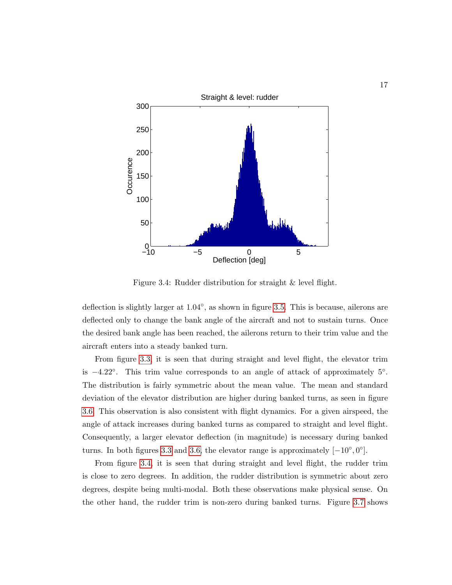

<span id="page-25-0"></span>Figure 3.4: Rudder distribution for straight & level flight.

deflection is slightly larger at  $1.04^{\circ}$ , as shown in figure [3.5.](#page-26-0) This is because, ailerons are deflected only to change the bank angle of the aircraft and not to sustain turns. Once the desired bank angle has been reached, the ailerons return to their trim value and the aircraft enters into a steady banked turn.

From figure [3.3,](#page-24-0) it is seen that during straight and level flight, the elevator trim is  $-4.22°$ . This trim value corresponds to an angle of attack of approximately  $5°$ . The distribution is fairly symmetric about the mean value. The mean and standard deviation of the elevator distribution are higher during banked turns, as seen in figure [3.6.](#page-27-0) This observation is also consistent with flight dynamics. For a given airspeed, the angle of attack increases during banked turns as compared to straight and level flight. Consequently, a larger elevator deflection (in magnitude) is necessary during banked turns. In both figures [3.3](#page-24-0) and [3.6,](#page-27-0) the elevator range is approximately  $[-10^{\circ}, 0^{\circ}]$ .

From figure [3.4,](#page-25-0) it is seen that during straight and level flight, the rudder trim is close to zero degrees. In addition, the rudder distribution is symmetric about zero degrees, despite being multi-modal. Both these observations make physical sense. On the other hand, the rudder trim is non-zero during banked turns. Figure [3.7](#page-27-1) shows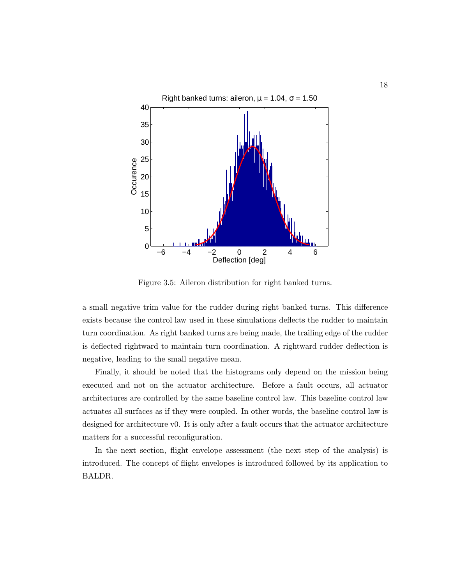

<span id="page-26-0"></span>Figure 3.5: Aileron distribution for right banked turns.

a small negative trim value for the rudder during right banked turns. This difference exists because the control law used in these simulations deflects the rudder to maintain turn coordination. As right banked turns are being made, the trailing edge of the rudder is deflected rightward to maintain turn coordination. A rightward rudder deflection is negative, leading to the small negative mean.

Finally, it should be noted that the histograms only depend on the mission being executed and not on the actuator architecture. Before a fault occurs, all actuator architectures are controlled by the same baseline control law. This baseline control law actuates all surfaces as if they were coupled. In other words, the baseline control law is designed for architecture v0. It is only after a fault occurs that the actuator architecture matters for a successful reconfiguration.

In the next section, flight envelope assessment (the next step of the analysis) is introduced. The concept of flight envelopes is introduced followed by its application to BALDR.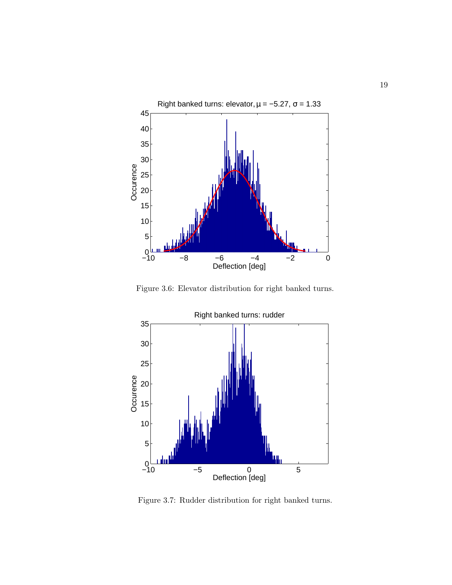

<span id="page-27-0"></span>Figure 3.6: Elevator distribution for right banked turns.



<span id="page-27-1"></span>Figure 3.7: Rudder distribution for right banked turns.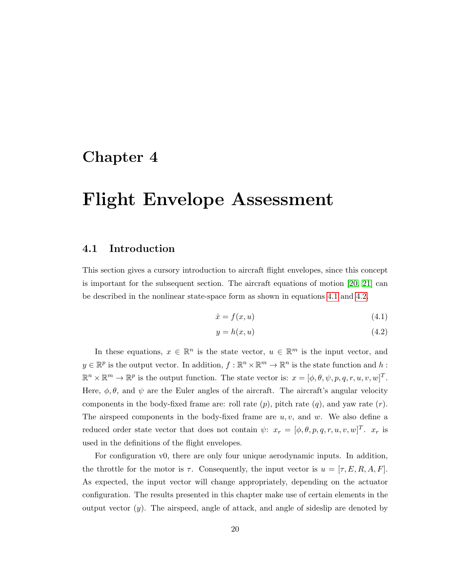### <span id="page-28-0"></span>Chapter 4

## Flight Envelope Assessment

#### <span id="page-28-1"></span>4.1 Introduction

This section gives a cursory introduction to aircraft flight envelopes, since this concept is important for the subsequent section. The aircraft equations of motion [\[20,](#page-42-10) [21\]](#page-43-0) can be described in the nonlinear state-space form as shown in equations [4.1](#page-28-2) and [4.2.](#page-28-3)

<span id="page-28-2"></span>
$$
\dot{x} = f(x, u) \tag{4.1}
$$

<span id="page-28-3"></span>
$$
y = h(x, u) \tag{4.2}
$$

In these equations,  $x \in \mathbb{R}^n$  is the state vector,  $u \in \mathbb{R}^m$  is the input vector, and  $y \in \mathbb{R}^p$  is the output vector. In addition,  $f: \mathbb{R}^n \times \mathbb{R}^m \to \mathbb{R}^n$  is the state function and h:  $\mathbb{R}^n \times \mathbb{R}^m \to \mathbb{R}^p$  is the output function. The state vector is:  $x = [\phi, \theta, \psi, p, q, r, u, v, w]^T$ . Here,  $\phi$ ,  $\theta$ , and  $\psi$  are the Euler angles of the aircraft. The aircraft's angular velocity components in the body-fixed frame are: roll rate  $(p)$ , pitch rate  $(q)$ , and yaw rate  $(r)$ . The airspeed components in the body-fixed frame are  $u, v$ , and  $w$ . We also define a reduced order state vector that does not contain  $\psi: x_r = [\phi, \theta, p, q, r, u, v, w]^T$ .  $x_r$  is used in the definitions of the flight envelopes.

For configuration v0, there are only four unique aerodynamic inputs. In addition, the throttle for the motor is  $\tau$ . Consequently, the input vector is  $u = [\tau, E, R, A, F]$ . As expected, the input vector will change appropriately, depending on the actuator configuration. The results presented in this chapter make use of certain elements in the output vector  $(y)$ . The airspeed, angle of attack, and angle of sideslip are denoted by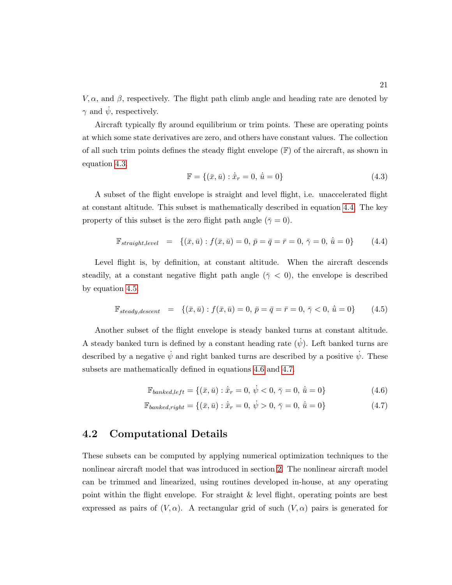$V, \alpha$ , and  $\beta$ , respectively. The flight path climb angle and heading rate are denoted by  $\gamma$  and  $\dot{\psi}$ , respectively.

Aircraft typically fly around equilibrium or trim points. These are operating points at which some state derivatives are zero, and others have constant values. The collection of all such trim points defines the steady flight envelope  $(F)$  of the aircraft, as shown in equation [4.3.](#page-29-1)

<span id="page-29-1"></span>
$$
\mathbb{F} = \{ (\bar{x}, \bar{u}) : \dot{\bar{x}}_r = 0, \, \dot{\bar{u}} = 0 \}
$$
\n(4.3)

A subset of the flight envelope is straight and level flight, i.e. unaccelerated flight at constant altitude. This subset is mathematically described in equation [4.4.](#page-29-2) The key property of this subset is the zero flight path angle ( $\bar{\gamma} = 0$ ).

<span id="page-29-2"></span>
$$
\mathbb{F}_{straight, level} = \{ (\bar{x}, \bar{u}) : f(\bar{x}, \bar{u}) = 0, \ \bar{p} = \bar{q} = \bar{r} = 0, \ \bar{\gamma} = 0, \ \dot{\bar{u}} = 0 \}
$$
 (4.4)

Level flight is, by definition, at constant altitude. When the aircraft descends steadily, at a constant negative flight path angle ( $\bar{\gamma}$  < 0), the envelope is described by equation [4.5.](#page-29-3)

<span id="page-29-3"></span>
$$
\mathbb{F}_{steady, descent} = \{ (\bar{x}, \bar{u}) : f(\bar{x}, \bar{u}) = 0, \ \bar{p} = \bar{q} = \bar{r} = 0, \ \bar{\gamma} < 0, \ \dot{\bar{u}} = 0 \} \tag{4.5}
$$

Another subset of the flight envelope is steady banked turns at constant altitude. A steady banked turn is defined by a constant heading rate  $(\dot{\psi})$ . Left banked turns are described by a negative  $\dot{\psi}$  and right banked turns are described by a positive  $\dot{\psi}$ . These subsets are mathematically defined in equations [4.6](#page-29-4) and [4.7.](#page-29-5)

<span id="page-29-5"></span><span id="page-29-4"></span>
$$
\mathbb{F}_{banked, left} = \{ (\bar{x}, \bar{u}) : \dot{\bar{x}}_r = 0, \, \dot{\psi} < 0, \, \bar{\gamma} = 0, \, \dot{\bar{u}} = 0 \} \tag{4.6}
$$

$$
\mathbb{F}_{banked, right} = \{ (\bar{x}, \bar{u}) : \dot{\bar{x}}_r = 0, \, \dot{\psi} > 0, \, \bar{\gamma} = 0, \, \dot{\bar{u}} = 0 \} \tag{4.7}
$$

#### <span id="page-29-0"></span>4.2 Computational Details

These subsets can be computed by applying numerical optimization techniques to the nonlinear aircraft model that was introduced in section [2.](#page-13-0) The nonlinear aircraft model can be trimmed and linearized, using routines developed in-house, at any operating point within the flight envelope. For straight & level flight, operating points are best expressed as pairs of  $(V, \alpha)$ . A rectangular grid of such  $(V, \alpha)$  pairs is generated for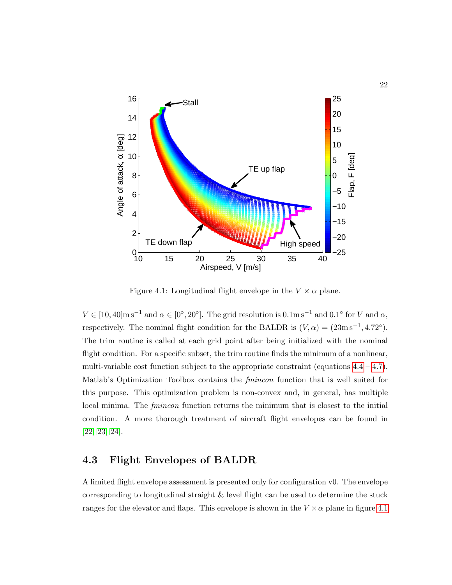

<span id="page-30-1"></span>Figure 4.1: Longitudinal flight envelope in the  $V \times \alpha$  plane.

 $V \in [10, 40] \text{m s}^{-1}$  and  $\alpha \in [0^{\circ}, 20^{\circ}]$ . The grid resolution is  $0.1 \text{m s}^{-1}$  and  $0.1^{\circ}$  for V and  $\alpha$ , respectively. The nominal flight condition for the BALDR is  $(V, \alpha) = (23 \text{m s}^{-1}, 4.72^{\circ}).$ The trim routine is called at each grid point after being initialized with the nominal flight condition. For a specific subset, the trim routine finds the minimum of a nonlinear, multi-variable cost function subject to the appropriate constraint (equations  $4.4 - 4.7$ ). Matlab's Optimization Toolbox contains the *fmincon* function that is well suited for this purpose. This optimization problem is non-convex and, in general, has multiple local minima. The *fmincon* function returns the minimum that is closest to the initial condition. A more thorough treatment of aircraft flight envelopes can be found in [\[22,](#page-43-1) [23,](#page-43-2) [24\]](#page-43-3).

#### <span id="page-30-0"></span>4.3 Flight Envelopes of BALDR

A limited flight envelope assessment is presented only for configuration v0. The envelope corresponding to longitudinal straight & level flight can be used to determine the stuck ranges for the elevator and flaps. This envelope is shown in the  $V \times \alpha$  plane in figure [4.1](#page-30-1)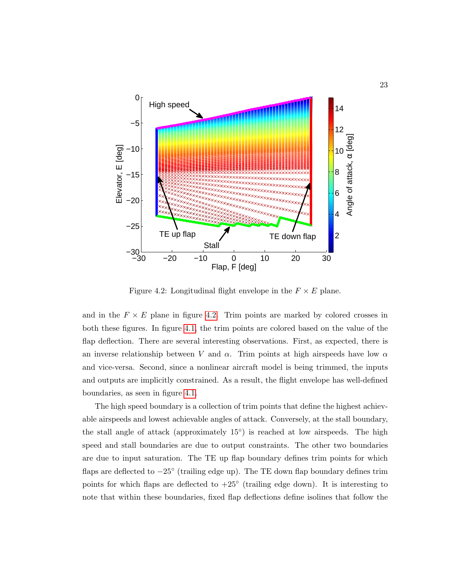

<span id="page-31-0"></span>Figure 4.2: Longitudinal flight envelope in the  $F \times E$  plane.

and in the  $F \times E$  plane in figure [4.2.](#page-31-0) Trim points are marked by colored crosses in both these figures. In figure [4.1,](#page-30-1) the trim points are colored based on the value of the flap deflection. There are several interesting observations. First, as expected, there is an inverse relationship between V and  $\alpha$ . Trim points at high airspeeds have low  $\alpha$ and vice-versa. Second, since a nonlinear aircraft model is being trimmed, the inputs and outputs are implicitly constrained. As a result, the flight envelope has well-defined boundaries, as seen in figure [4.1.](#page-30-1)

The high speed boundary is a collection of trim points that define the highest achievable airspeeds and lowest achievable angles of attack. Conversely, at the stall boundary, the stall angle of attack (approximately 15<sup>°</sup>) is reached at low airspeeds. The high speed and stall boundaries are due to output constraints. The other two boundaries are due to input saturation. The TE up flap boundary defines trim points for which flaps are deflected to −25◦ (trailing edge up). The TE down flap boundary defines trim points for which flaps are deflected to  $+25^{\circ}$  (trailing edge down). It is interesting to note that within these boundaries, fixed flap deflections define isolines that follow the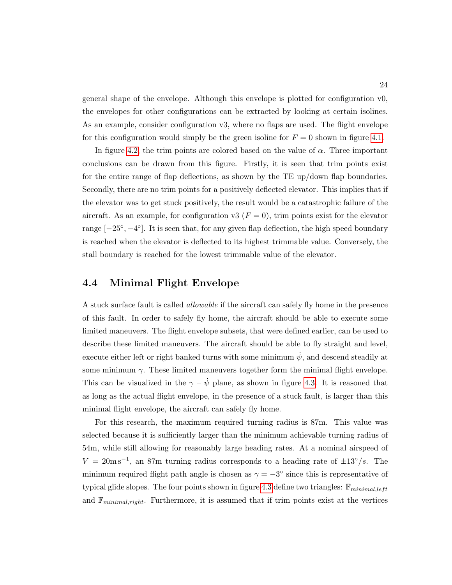general shape of the envelope. Although this envelope is plotted for configuration v0, the envelopes for other configurations can be extracted by looking at certain isolines. As an example, consider configuration v3, where no flaps are used. The flight envelope for this configuration would simply be the green isoline for  $F = 0$  shown in figure [4.1.](#page-30-1)

In figure [4.2,](#page-31-0) the trim points are colored based on the value of  $\alpha$ . Three important conclusions can be drawn from this figure. Firstly, it is seen that trim points exist for the entire range of flap deflections, as shown by the TE up/down flap boundaries. Secondly, there are no trim points for a positively deflected elevator. This implies that if the elevator was to get stuck positively, the result would be a catastrophic failure of the aircraft. As an example, for configuration v3 ( $F = 0$ ), trim points exist for the elevator range  $[-25^{\circ}, -4^{\circ}]$ . It is seen that, for any given flap deflection, the high speed boundary is reached when the elevator is deflected to its highest trimmable value. Conversely, the stall boundary is reached for the lowest trimmable value of the elevator.

#### <span id="page-32-0"></span>4.4 Minimal Flight Envelope

A stuck surface fault is called *allowable* if the aircraft can safely fly home in the presence of this fault. In order to safely fly home, the aircraft should be able to execute some limited maneuvers. The flight envelope subsets, that were defined earlier, can be used to describe these limited maneuvers. The aircraft should be able to fly straight and level, execute either left or right banked turns with some minimum  $\dot{\psi}$ , and descend steadily at some minimum  $\gamma$ . These limited maneuvers together form the minimal flight envelope. This can be visualized in the  $\gamma - \dot{\psi}$  plane, as shown in figure [4.3.](#page-33-1) It is reasoned that as long as the actual flight envelope, in the presence of a stuck fault, is larger than this minimal flight envelope, the aircraft can safely fly home.

For this research, the maximum required turning radius is 87m. This value was selected because it is sufficiently larger than the minimum achievable turning radius of 54m, while still allowing for reasonably large heading rates. At a nominal airspeed of  $V = 20 \text{m s}^{-1}$ , an 87m turning radius corresponds to a heading rate of  $\pm 13^{\circ}/s$ . The minimum required flight path angle is chosen as  $\gamma = -3^{\circ}$  since this is representative of typical glide slopes. The four points shown in figure [4.3](#page-33-1) define two triangles:  $\mathbb{F}_{minimal, left}$ and  $\mathbb{F}_{minimal,right}$ . Furthermore, it is assumed that if trim points exist at the vertices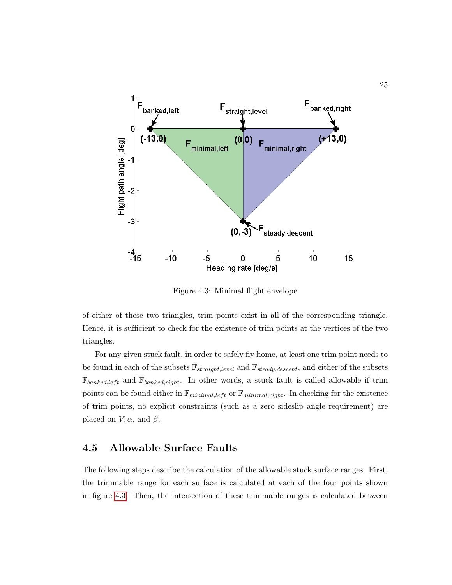

<span id="page-33-1"></span>Figure 4.3: Minimal flight envelope

of either of these two triangles, trim points exist in all of the corresponding triangle. Hence, it is sufficient to check for the existence of trim points at the vertices of the two triangles.

For any given stuck fault, in order to safely fly home, at least one trim point needs to be found in each of the subsets  $\mathbb{F}_{straight, level}$  and  $\mathbb{F}_{steady, descent}$ , and either of the subsets  $\mathbb{F}_{banked, left}$  and  $\mathbb{F}_{banked, right}$ . In other words, a stuck fault is called allowable if trim points can be found either in  $\mathbb{F}_{minimal,left}$  or  $\mathbb{F}_{minimal,right}$ . In checking for the existence of trim points, no explicit constraints (such as a zero sideslip angle requirement) are placed on  $V, \alpha$ , and  $\beta$ .

#### <span id="page-33-0"></span>4.5 Allowable Surface Faults

The following steps describe the calculation of the allowable stuck surface ranges. First, the trimmable range for each surface is calculated at each of the four points shown in figure [4.3.](#page-33-1) Then, the intersection of these trimmable ranges is calculated between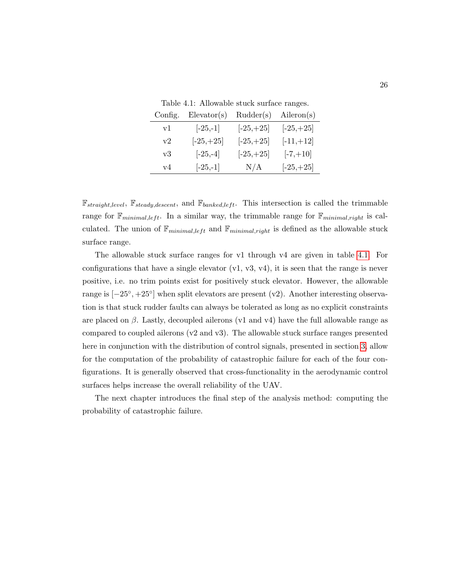<span id="page-34-0"></span>Table 4.1: Allowable stuck surface ranges.

| Config.  | Elevantor(s) | Rudder(s)    | Aileron(s)   |
|----------|--------------|--------------|--------------|
| vl       | $[-25,-1]$   | $[-25, +25]$ | $[-25, +25]$ |
| $\rm v2$ | $[-25, +25]$ | $[-25, +25]$ | $[-11,+12]$  |
| v3       | $[-25,-4]$   | $[-25, +25]$ | $[-7,+10]$   |
| v4       | $[-25,-1]$   | N/A          | $[-25, +25]$ |

 $\mathbb{F}_{straight, level}, \mathbb{F}_{steady, descent}, \text{ and } \mathbb{F}_{banked, left}.$  This intersection is called the trimmable range for  $\mathbb{F}_{minimal,left}$ . In a similar way, the trimmable range for  $\mathbb{F}_{minimal,right}$  is calculated. The union of  $\mathbb{F}_{minimal, left}$  and  $\mathbb{F}_{minimal, right}$  is defined as the allowable stuck surface range.

The allowable stuck surface ranges for v1 through v4 are given in table [4.1.](#page-34-0) For configurations that have a single elevator  $(v1, v3, v4)$ , it is seen that the range is never positive, i.e. no trim points exist for positively stuck elevator. However, the allowable range is  $[-25^{\circ}, +25^{\circ}]$  when split elevators are present (v2). Another interesting observation is that stuck rudder faults can always be tolerated as long as no explicit constraints are placed on  $\beta$ . Lastly, decoupled ailerons (v1 and v4) have the full allowable range as compared to coupled ailerons  $(v2 \text{ and } v3)$ . The allowable stuck surface ranges presented here in conjunction with the distribution of control signals, presented in section [3,](#page-21-0) allow for the computation of the probability of catastrophic failure for each of the four configurations. It is generally observed that cross-functionality in the aerodynamic control surfaces helps increase the overall reliability of the UAV.

The next chapter introduces the final step of the analysis method: computing the probability of catastrophic failure.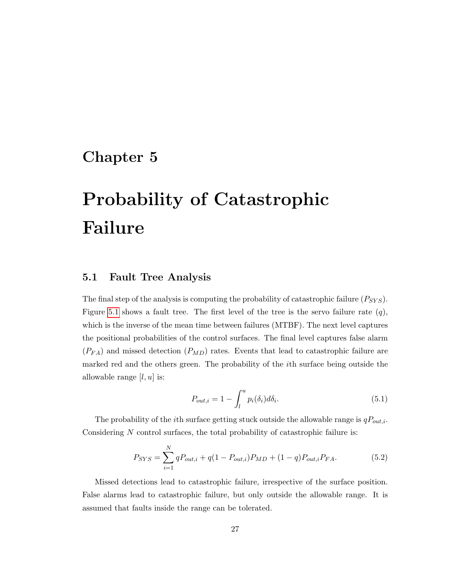### <span id="page-35-0"></span>Chapter 5

# Probability of Catastrophic Failure

#### <span id="page-35-1"></span>5.1 Fault Tree Analysis

The final step of the analysis is computing the probability of catastrophic failure  $(P_{SYS})$ . Figure [5.1](#page-36-1) shows a fault tree. The first level of the tree is the servo failure rate  $(q)$ , which is the inverse of the mean time between failures (MTBF). The next level captures the positional probabilities of the control surfaces. The final level captures false alarm  $(P_{FA})$  and missed detection  $(P_{MD})$  rates. Events that lead to catastrophic failure are marked red and the others green. The probability of the ith surface being outside the allowable range  $[l, u]$  is:

$$
P_{out,i} = 1 - \int_{l}^{u} p_i(\delta_i) d\delta_i.
$$
 (5.1)

The probability of the *i*th surface getting stuck outside the allowable range is  $qP_{out,i}$ . Considering N control surfaces, the total probability of catastrophic failure is:

$$
P_{SYS} = \sum_{i=1}^{N} qP_{out,i} + q(1 - P_{out,i})P_{MD} + (1 - q)P_{out,i}P_{FA}.
$$
 (5.2)

Missed detections lead to catastrophic failure, irrespective of the surface position. False alarms lead to catastrophic failure, but only outside the allowable range. It is assumed that faults inside the range can be tolerated.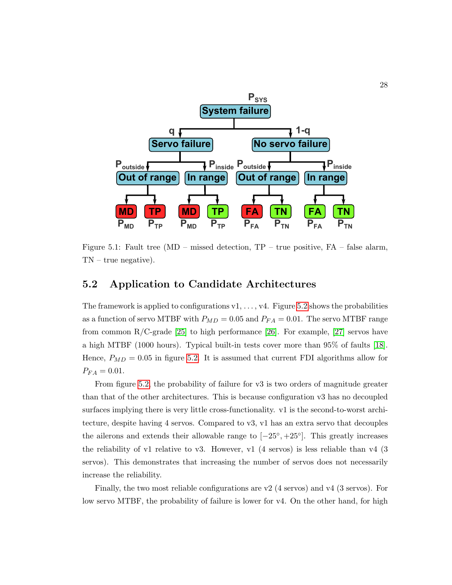

<span id="page-36-1"></span>Figure 5.1: Fault tree (MD – missed detection, TP – true positive, FA – false alarm, TN – true negative).

#### <span id="page-36-0"></span>5.2 Application to Candidate Architectures

The framework is applied to configurations  $v_1, \ldots, v_4$ . Figure [5.2](#page-37-0) shows the probabilities as a function of servo MTBF with  $P_{MD} = 0.05$  and  $P_{FA} = 0.01$ . The servo MTBF range from common  $R/C$ -grade [\[25\]](#page-43-4) to high performance [\[26\]](#page-43-5). For example, [\[27\]](#page-43-6) servos have a high MTBF (1000 hours). Typical built-in tests cover more than 95% of faults [\[18\]](#page-42-8). Hence,  $P_{MD} = 0.05$  in figure [5.2.](#page-37-0) It is assumed that current FDI algorithms allow for  $P_{FA} = 0.01.$ 

From figure [5.2,](#page-37-0) the probability of failure for v3 is two orders of magnitude greater than that of the other architectures. This is because configuration v3 has no decoupled surfaces implying there is very little cross-functionality. v1 is the second-to-worst architecture, despite having 4 servos. Compared to v3, v1 has an extra servo that decouples the ailerons and extends their allowable range to  $[-25^{\circ}, +25^{\circ}]$ . This greatly increases the reliability of v1 relative to v3. However, v1 (4 servos) is less reliable than v4 (3 servos). This demonstrates that increasing the number of servos does not necessarily increase the reliability.

Finally, the two most reliable configurations are  $v2$  (4 servos) and  $v4$  (3 servos). For low servo MTBF, the probability of failure is lower for v4. On the other hand, for high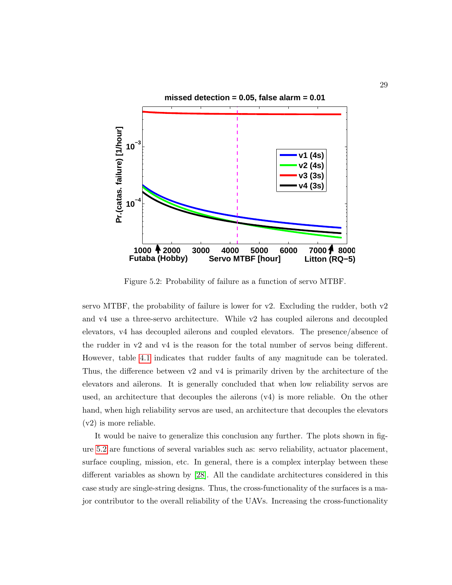

<span id="page-37-0"></span>Figure 5.2: Probability of failure as a function of servo MTBF.

servo MTBF, the probability of failure is lower for  $v2$ . Excluding the rudder, both  $v2$ and v4 use a three-servo architecture. While v2 has coupled ailerons and decoupled elevators, v4 has decoupled ailerons and coupled elevators. The presence/absence of the rudder in v2 and v4 is the reason for the total number of servos being different. However, table [4.1](#page-34-0) indicates that rudder faults of any magnitude can be tolerated. Thus, the difference between v2 and v4 is primarily driven by the architecture of the elevators and ailerons. It is generally concluded that when low reliability servos are used, an architecture that decouples the ailerons (v4) is more reliable. On the other hand, when high reliability servos are used, an architecture that decouples the elevators (v2) is more reliable.

It would be naive to generalize this conclusion any further. The plots shown in figure [5.2](#page-37-0) are functions of several variables such as: servo reliability, actuator placement, surface coupling, mission, etc. In general, there is a complex interplay between these different variables as shown by [\[28\]](#page-43-7). All the candidate architectures considered in this case study are single-string designs. Thus, the cross-functionality of the surfaces is a major contributor to the overall reliability of the UAVs. Increasing the cross-functionality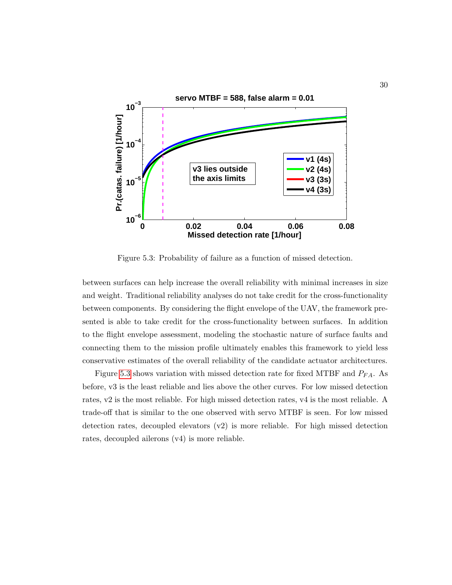

<span id="page-38-0"></span>Figure 5.3: Probability of failure as a function of missed detection.

between surfaces can help increase the overall reliability with minimal increases in size and weight. Traditional reliability analyses do not take credit for the cross-functionality between components. By considering the flight envelope of the UAV, the framework presented is able to take credit for the cross-functionality between surfaces. In addition to the flight envelope assessment, modeling the stochastic nature of surface faults and connecting them to the mission profile ultimately enables this framework to yield less conservative estimates of the overall reliability of the candidate actuator architectures.

Figure [5.3](#page-38-0) shows variation with missed detection rate for fixed MTBF and  $P_{FA}$ . As before, v3 is the least reliable and lies above the other curves. For low missed detection rates, v2 is the most reliable. For high missed detection rates, v4 is the most reliable. A trade-off that is similar to the one observed with servo MTBF is seen. For low missed detection rates, decoupled elevators (v2) is more reliable. For high missed detection rates, decoupled ailerons (v4) is more reliable.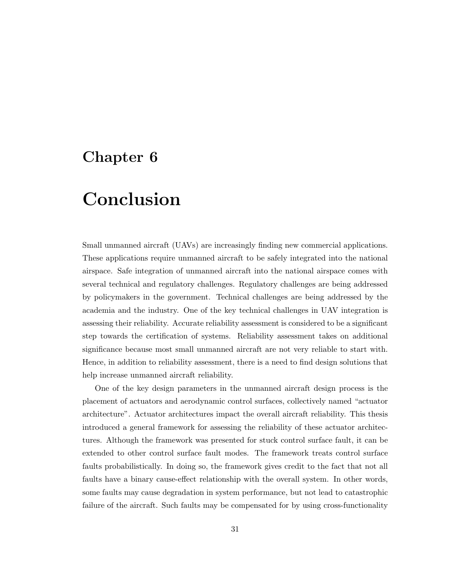### <span id="page-39-0"></span>Chapter 6

# Conclusion

Small unmanned aircraft (UAVs) are increasingly finding new commercial applications. These applications require unmanned aircraft to be safely integrated into the national airspace. Safe integration of unmanned aircraft into the national airspace comes with several technical and regulatory challenges. Regulatory challenges are being addressed by policymakers in the government. Technical challenges are being addressed by the academia and the industry. One of the key technical challenges in UAV integration is assessing their reliability. Accurate reliability assessment is considered to be a significant step towards the certification of systems. Reliability assessment takes on additional significance because most small unmanned aircraft are not very reliable to start with. Hence, in addition to reliability assessment, there is a need to find design solutions that help increase unmanned aircraft reliability.

One of the key design parameters in the unmanned aircraft design process is the placement of actuators and aerodynamic control surfaces, collectively named "actuator architecture". Actuator architectures impact the overall aircraft reliability. This thesis introduced a general framework for assessing the reliability of these actuator architectures. Although the framework was presented for stuck control surface fault, it can be extended to other control surface fault modes. The framework treats control surface faults probabilistically. In doing so, the framework gives credit to the fact that not all faults have a binary cause-effect relationship with the overall system. In other words, some faults may cause degradation in system performance, but not lead to catastrophic failure of the aircraft. Such faults may be compensated for by using cross-functionality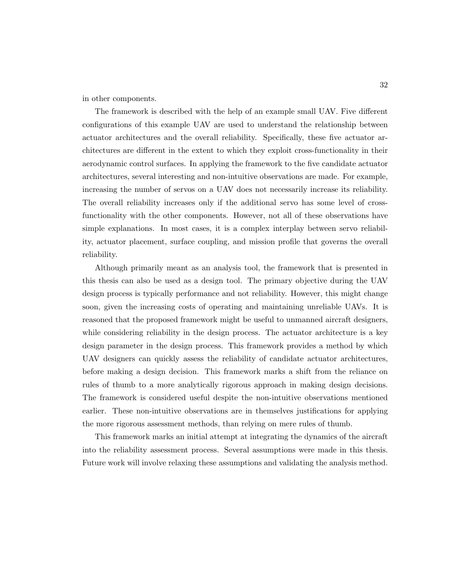in other components.

The framework is described with the help of an example small UAV. Five different configurations of this example UAV are used to understand the relationship between actuator architectures and the overall reliability. Specifically, these five actuator architectures are different in the extent to which they exploit cross-functionality in their aerodynamic control surfaces. In applying the framework to the five candidate actuator architectures, several interesting and non-intuitive observations are made. For example, increasing the number of servos on a UAV does not necessarily increase its reliability. The overall reliability increases only if the additional servo has some level of crossfunctionality with the other components. However, not all of these observations have simple explanations. In most cases, it is a complex interplay between servo reliability, actuator placement, surface coupling, and mission profile that governs the overall reliability.

Although primarily meant as an analysis tool, the framework that is presented in this thesis can also be used as a design tool. The primary objective during the UAV design process is typically performance and not reliability. However, this might change soon, given the increasing costs of operating and maintaining unreliable UAVs. It is reasoned that the proposed framework might be useful to unmanned aircraft designers, while considering reliability in the design process. The actuator architecture is a key design parameter in the design process. This framework provides a method by which UAV designers can quickly assess the reliability of candidate actuator architectures, before making a design decision. This framework marks a shift from the reliance on rules of thumb to a more analytically rigorous approach in making design decisions. The framework is considered useful despite the non-intuitive observations mentioned earlier. These non-intuitive observations are in themselves justifications for applying the more rigorous assessment methods, than relying on mere rules of thumb.

This framework marks an initial attempt at integrating the dynamics of the aircraft into the reliability assessment process. Several assumptions were made in this thesis. Future work will involve relaxing these assumptions and validating the analysis method.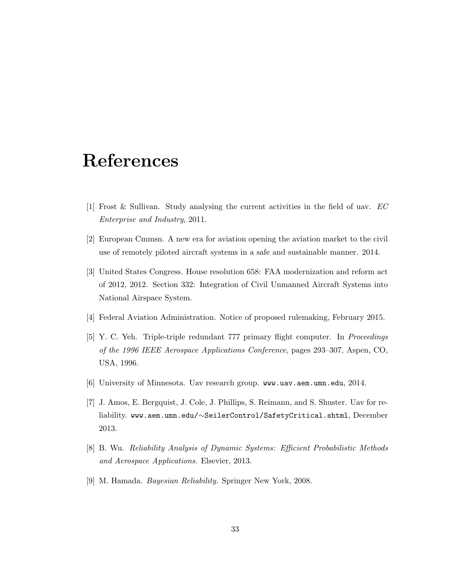## <span id="page-41-0"></span>References

- <span id="page-41-1"></span>[1] Frost & Sullivan. Study analysing the current activities in the field of uav. EC Enterprise and Industry, 2011.
- <span id="page-41-2"></span>[2] European Cmmsn. A new era for aviation opening the aviation market to the civil use of remotely piloted aircraft systems in a safe and sustainable manner. 2014.
- <span id="page-41-3"></span>[3] United States Congress. House resolution 658: FAA modernization and reform act of 2012, 2012. Section 332: Integration of Civil Unmanned Aircraft Systems into National Airspace System.
- <span id="page-41-4"></span>[4] Federal Aviation Administration. Notice of proposed rulemaking, February 2015.
- <span id="page-41-5"></span>[5] Y. C. Yeh. Triple-triple redundant 777 primary flight computer. In Proceedings of the 1996 IEEE Aerospace Applications Conference, pages 293–307, Aspen, CO, USA, 1996.
- <span id="page-41-6"></span>[6] University of Minnesota. Uav research group. www.uav.aem.umn.edu, 2014.
- <span id="page-41-7"></span>[7] J. Amos, E. Bergquist, J. Cole, J. Phillips, S. Reimann, and S. Shuster. Uav for reliability. www.aem.umn.edu/∼SeilerControl/SafetyCritical.shtml, December 2013.
- <span id="page-41-8"></span>[8] B. Wu. Reliability Analysis of Dynamic Systems: Efficient Probabilistic Methods and Aerospace Applications. Elsevier, 2013.
- <span id="page-41-9"></span>[9] M. Hamada. Bayesian Reliability. Springer New York, 2008.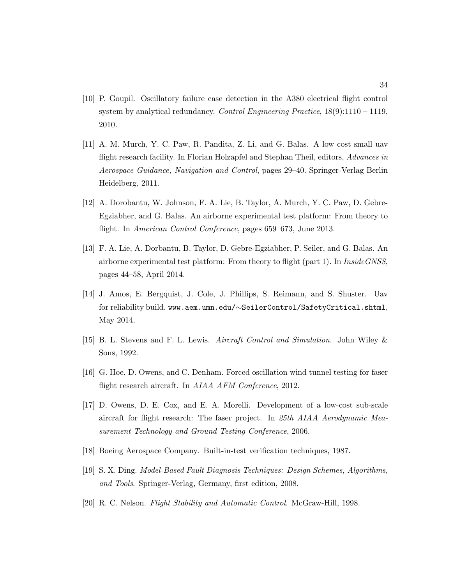- <span id="page-42-0"></span>[10] P. Goupil. Oscillatory failure case detection in the A380 electrical flight control system by analytical redundancy. Control Engineering Practice,  $18(9):1110-1119$ , 2010.
- <span id="page-42-1"></span>[11] A. M. Murch, Y. C. Paw, R. Pandita, Z. Li, and G. Balas. A low cost small uav flight research facility. In Florian Holzapfel and Stephan Theil, editors, Advances in Aerospace Guidance, Navigation and Control, pages 29–40. Springer-Verlag Berlin Heidelberg, 2011.
- <span id="page-42-2"></span>[12] A. Dorobantu, W. Johnson, F. A. Lie, B. Taylor, A. Murch, Y. C. Paw, D. Gebre-Egziabher, and G. Balas. An airborne experimental test platform: From theory to flight. In American Control Conference, pages 659–673, June 2013.
- <span id="page-42-3"></span>[13] F. A. Lie, A. Dorbantu, B. Taylor, D. Gebre-Egziabher, P. Seiler, and G. Balas. An airborne experimental test platform: From theory to flight (part 1). In *InsideGNSS*, pages 44–58, April 2014.
- <span id="page-42-4"></span>[14] J. Amos, E. Bergquist, J. Cole, J. Phillips, S. Reimann, and S. Shuster. Uav for reliability build. www.aem.umn.edu/∼SeilerControl/SafetyCritical.shtml, May 2014.
- <span id="page-42-5"></span>[15] B. L. Stevens and F. L. Lewis. Aircraft Control and Simulation. John Wiley & Sons, 1992.
- <span id="page-42-6"></span>[16] G. Hoe, D. Owens, and C. Denham. Forced oscillation wind tunnel testing for faser flight research aircraft. In *AIAA AFM Conference*, 2012.
- <span id="page-42-7"></span>[17] D. Owens, D. E. Cox, and E. A. Morelli. Development of a low-cost sub-scale aircraft for flight research: The faser project. In 25th AIAA Aerodynamic Measurement Technology and Ground Testing Conference, 2006.
- <span id="page-42-8"></span>[18] Boeing Aerospace Company. Built-in-test verification techniques, 1987.
- <span id="page-42-9"></span>[19] S. X. Ding. Model-Based Fault Diagnosis Techniques: Design Schemes, Algorithms, and Tools. Springer-Verlag, Germany, first edition, 2008.
- <span id="page-42-10"></span>[20] R. C. Nelson. Flight Stability and Automatic Control. McGraw-Hill, 1998.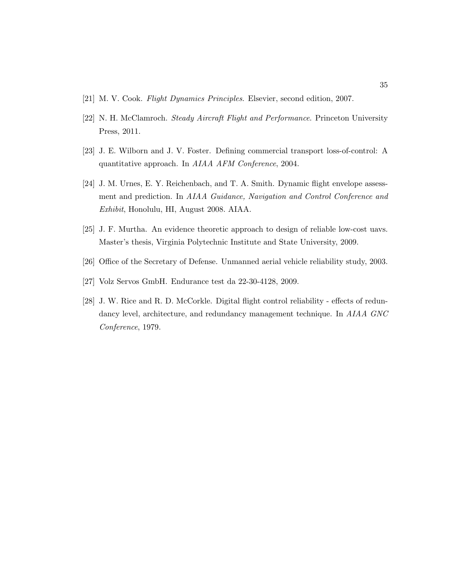- <span id="page-43-0"></span>[21] M. V. Cook. Flight Dynamics Principles. Elsevier, second edition, 2007.
- <span id="page-43-1"></span>[22] N. H. McClamroch. Steady Aircraft Flight and Performance. Princeton University Press, 2011.
- <span id="page-43-2"></span>[23] J. E. Wilborn and J. V. Foster. Defining commercial transport loss-of-control: A quantitative approach. In AIAA AFM Conference, 2004.
- <span id="page-43-3"></span>[24] J. M. Urnes, E. Y. Reichenbach, and T. A. Smith. Dynamic flight envelope assessment and prediction. In AIAA Guidance, Navigation and Control Conference and Exhibit, Honolulu, HI, August 2008. AIAA.
- <span id="page-43-4"></span>[25] J. F. Murtha. An evidence theoretic approach to design of reliable low-cost uavs. Master's thesis, Virginia Polytechnic Institute and State University, 2009.
- <span id="page-43-5"></span>[26] Office of the Secretary of Defense. Unmanned aerial vehicle reliability study, 2003.
- <span id="page-43-6"></span>[27] Volz Servos GmbH. Endurance test da 22-30-4128, 2009.
- <span id="page-43-7"></span>[28] J. W. Rice and R. D. McCorkle. Digital flight control reliability - effects of redundancy level, architecture, and redundancy management technique. In AIAA GNC Conference, 1979.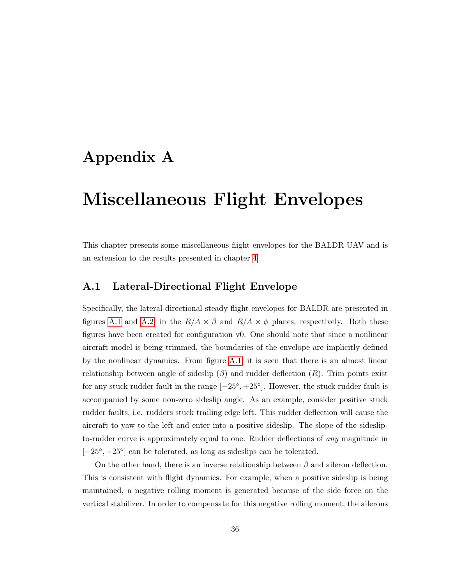### <span id="page-44-0"></span>Appendix A

## Miscellaneous Flight Envelopes

This chapter presents some miscellaneous flight envelopes for the BALDR UAV and is an extension to the results presented in chapter [4.](#page-28-0)

#### <span id="page-44-1"></span>A.1 Lateral-Directional Flight Envelope

Specifically, the lateral-directional steady flight envelopes for BALDR are presented in figures [A.1](#page-45-0) and [A.2,](#page-46-1) in the  $R/A \times \beta$  and  $R/A \times \phi$  planes, respectively. Both these figures have been created for configuration v0. One should note that since a nonlinear aircraft model is being trimmed, the boundaries of the envelope are implicitly defined by the nonlinear dynamics. From figure [A.1,](#page-45-0) it is seen that there is an almost linear relationship between angle of sideslip  $(\beta)$  and rudder deflection  $(R)$ . Trim points exist for any stuck rudder fault in the range  $[-25^{\circ}, +25^{\circ}]$ . However, the stuck rudder fault is accompanied by some non-zero sideslip angle. As an example, consider positive stuck rudder faults, i.e. rudders stuck trailing edge left. This rudder deflection will cause the aircraft to yaw to the left and enter into a positive sideslip. The slope of the sideslipto-rudder curve is approximately equal to one. Rudder deflections of any magnitude in [-25<sup>°</sup>, +25<sup>°</sup>] can be tolerated, as long as sideslips can be tolerated.

On the other hand, there is an inverse relationship between  $\beta$  and aileron deflection. This is consistent with flight dynamics. For example, when a positive sideslip is being maintained, a negative rolling moment is generated because of the side force on the vertical stabilizer. In order to compensate for this negative rolling moment, the ailerons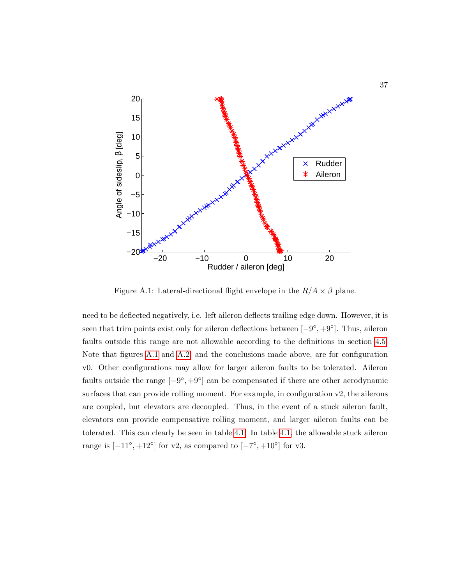

<span id="page-45-0"></span>Figure A.1: Lateral-directional flight envelope in the  $R/A \times \beta$  plane.

need to be deflected negatively, i.e. left aileron deflects trailing edge down. However, it is seen that trim points exist only for aileron deflections between  $[-9^{\circ}, +9^{\circ}]$ . Thus, aileron faults outside this range are not allowable according to the definitions in section [4.5.](#page-33-0) Note that figures [A.1](#page-45-0) and [A.2,](#page-46-1) and the conclusions made above, are for configuration v0. Other configurations may allow for larger aileron faults to be tolerated. Aileron faults outside the range  $[-9^{\circ}, +9^{\circ}]$  can be compensated if there are other aerodynamic surfaces that can provide rolling moment. For example, in configuration v2, the ailerons are coupled, but elevators are decoupled. Thus, in the event of a stuck aileron fault, elevators can provide compensative rolling moment, and larger aileron faults can be tolerated. This can clearly be seen in table [4.1.](#page-34-0) In table [4.1,](#page-34-0) the allowable stuck aileron range is  $[-11^{\circ}, +12^{\circ}]$  for v2, as compared to  $[-7^{\circ}, +10^{\circ}]$  for v3.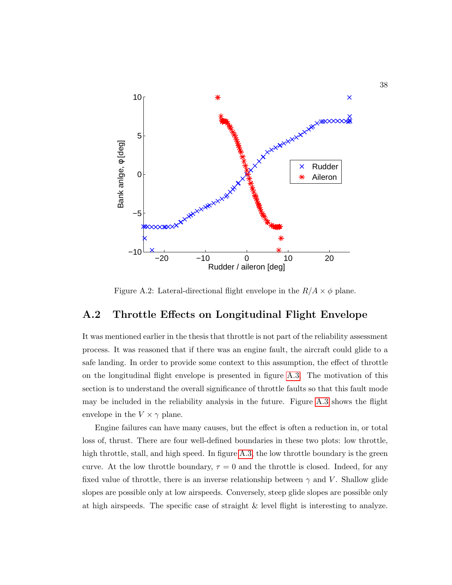

<span id="page-46-1"></span>Figure A.2: Lateral-directional flight envelope in the  $R/A \times \phi$  plane.

#### <span id="page-46-0"></span>A.2 Throttle Effects on Longitudinal Flight Envelope

It was mentioned earlier in the thesis that throttle is not part of the reliability assessment process. It was reasoned that if there was an engine fault, the aircraft could glide to a safe landing. In order to provide some context to this assumption, the effect of throttle on the longitudinal flight envelope is presented in figure [A.3.](#page-47-0) The motivation of this section is to understand the overall significance of throttle faults so that this fault mode may be included in the reliability analysis in the future. Figure [A.3](#page-47-0) shows the flight envelope in the  $V \times \gamma$  plane.

Engine failures can have many causes, but the effect is often a reduction in, or total loss of, thrust. There are four well-defined boundaries in these two plots: low throttle, high throttle, stall, and high speed. In figure [A.3,](#page-47-0) the low throttle boundary is the green curve. At the low throttle boundary,  $\tau = 0$  and the throttle is closed. Indeed, for any fixed value of throttle, there is an inverse relationship between  $\gamma$  and V. Shallow glide slopes are possible only at low airspeeds. Conversely, steep glide slopes are possible only at high airspeeds. The specific case of straight & level flight is interesting to analyze.